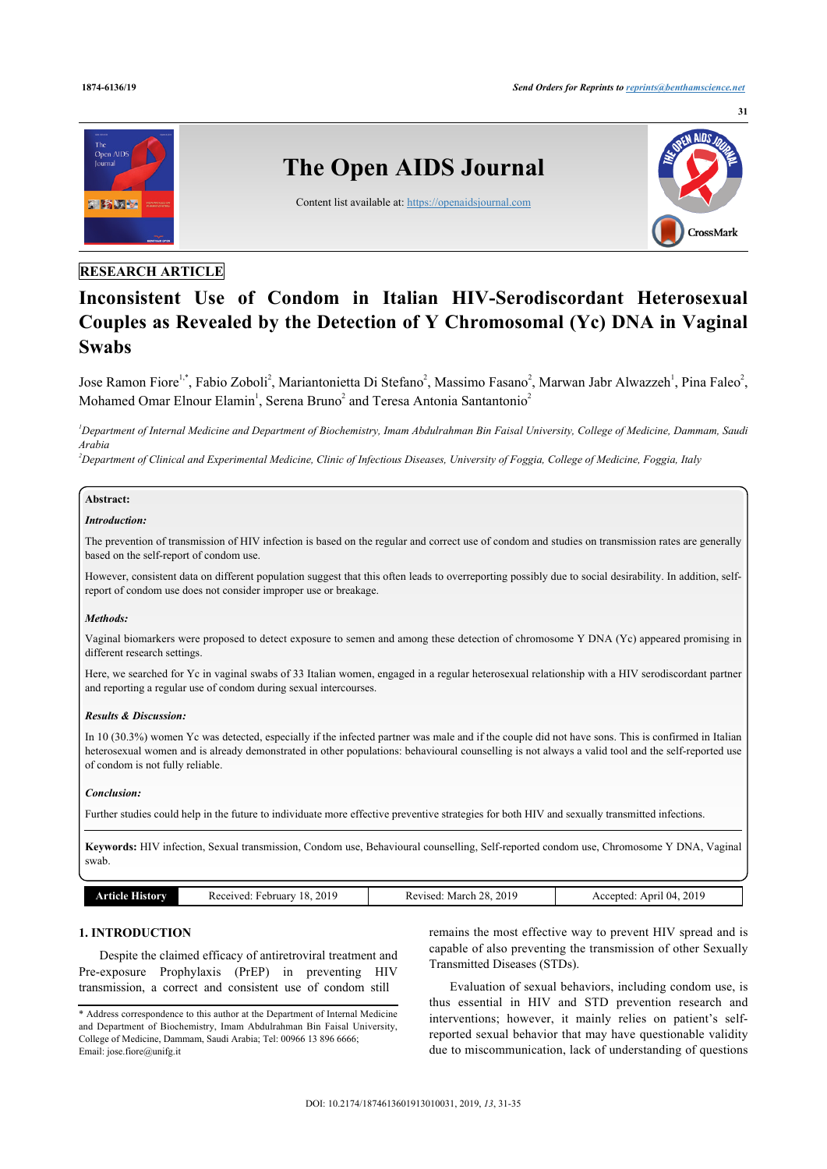

# **RESEARCH ARTICLE**

# **Inconsistent Use of Condom in Italian HIV-Serodiscordant Heterosexual Couples as Revealed by the Detection of Y Chromosomal (Yc) DNA in Vaginal Swabs**

Jose Ramon Fiore<sup>[1,](#page-0-0)[\\*](#page-0-1)</sup>, Fabio Zoboli<sup>[2](#page-0-2)</sup>, Mariantonietta Di Stefano<sup>2</sup>, Massimo Fasano<sup>2</sup>, Marwan Jabr Alwazzeh<sup>[1](#page-0-0)</sup>, Pina Faleo<sup>2</sup>, Mohamed Omar Elnour Elamin<sup>[1](#page-0-0)</sup>, Serena Bruno<sup>[2](#page-0-2)</sup> and Teresa Antonia Santantonio<sup>2</sup>

<span id="page-0-0"></span>*<sup>1</sup>Department of Internal Medicine and Department of Biochemistry, Imam Abdulrahman Bin Faisal University, College of Medicine, Dammam, Saudi Arabia*

<span id="page-0-2"></span>*<sup>2</sup>Department of Clinical and Experimental Medicine, Clinic of Infectious Diseases, University of Foggia, College of Medicine, Foggia, Italy*

## **Abstract:**

#### *Introduction:*

The prevention of transmission of HIV infection is based on the regular and correct use of condom and studies on transmission rates are generally based on the self-report of condom use.

However, consistent data on different population suggest that this often leads to overreporting possibly due to social desirability. In addition, selfreport of condom use does not consider improper use or breakage.

#### *Methods:*

Vaginal biomarkers were proposed to detect exposure to semen and among these detection of chromosome Y DNA (Yc) appeared promising in different research settings.

Here, we searched for Yc in vaginal swabs of 33 Italian women, engaged in a regular heterosexual relationship with a HIV serodiscordant partner and reporting a regular use of condom during sexual intercourses.

#### *Results & Discussion:*

In 10 (30.3%) women Yc was detected, especially if the infected partner was male and if the couple did not have sons. This is confirmed in Italian heterosexual women and is already demonstrated in other populations: behavioural counselling is not always a valid tool and the self-reported use of condom is not fully reliable.

#### *Conclusion:*

Further studies could help in the future to individuate more effective preventive strategies for both HIV and sexually transmitted infections.

**Keywords:** HIV infection, Sexual transmission, Condom use, Behavioural counselling, Self-reported condom use, Chromosome Y DNA, Vaginal swab.

|  | $\sim$ | 2019<br>$\Omega$<br>$\epsilon$<br>IPT<br>ке<br>на<br>T<br><br>. | 2019<br>ററ<br>Aoroh<br>1100d<br>VIA<br>.NC.<br>.<br>__<br>. | . $201c$<br>$\mathbf{u}$<br>ADIT<br>. ntec |
|--|--------|-----------------------------------------------------------------|-------------------------------------------------------------|--------------------------------------------|
|--|--------|-----------------------------------------------------------------|-------------------------------------------------------------|--------------------------------------------|

# **1. INTRODUCTION**

Despite the claimed efficacy of antiretroviral treatment and Pre-exposure Prophylaxis (PrEP) in preventing HIV transmission, a correct and consistent use of condom still

remains the most effective way to prevent HIV spread and is capable of also preventing the transmission of other Sexually Transmitted Diseases (STDs).

Evaluation of sexual behaviors, including condom use, is thus essential in HIV and STD prevention research and interventions; however, it mainly relies on patient's selfreported sexual behavior that may have questionable validity due to miscommunication, lack of understanding of questions

<span id="page-0-1"></span><sup>\*</sup> Address correspondence to this author at the Department of Internal Medicine and Department of Biochemistry, Imam Abdulrahman Bin Faisal University, College of Medicine, Dammam, Saudi Arabia; Tel: 00966 13 896 6666; Email: [jose.fiore@unifg.it](mailto:jose.fiore@unifg.it)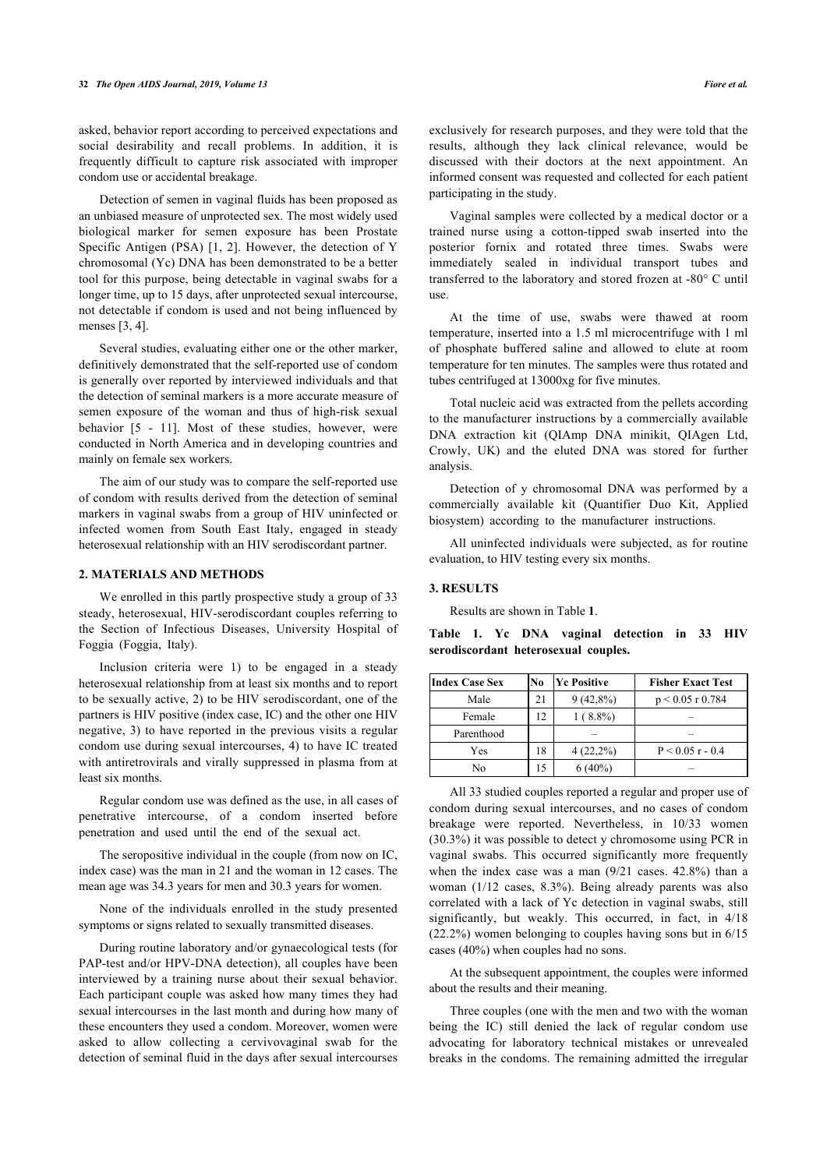asked, behavior report according to perceived expectations and social desirability and recall problems. In addition, it is frequently difficult to capture risk associated with improper condom use or accidental breakage.

Detection of semen in vaginal fluids has been proposed as an unbiased measure of unprotected sex. The most widely used biological marker for semen exposure has been Prostate Specific Antigen (PSA) [\[1,](#page-3-0) [2](#page-3-1)]. However, the detection of Y chromosomal (Yc) DNA has been demonstrated to be a better tool for this purpose, being detectable in vaginal swabs for a longer time, up to 15 days, after unprotected sexual intercourse, not detectable if condom is used and not being influenced by menses [\[3,](#page-3-2) [4\]](#page-3-3).

Several studies, evaluating either one or the other marker, definitively demonstrated that the self-reported use of condom is generally over reported by interviewed individuals and that the detection of seminal markers is a more accurate measure of semen exposure of the woman and thus of high-risk sexual behavior [\[5](#page-3-4) - [11](#page-3-5)]. Most of these studies, however, were conducted in North America and in developing countries and mainly on female sex workers.

The aim of our study was to compare the self-reported use of condom with results derived from the detection of seminal markers in vaginal swabs from a group of HIV uninfected or infected women from South East Italy, engaged in steady heterosexual relationship with an HIV serodiscordant partner.

#### **2. MATERIALS AND METHODS**

<span id="page-1-0"></span>We enrolled in this partly prospective study a group of 33 steady, heterosexual, HIV-serodiscordant couples referring to the Section of Infectious Diseases, University Hospital of Foggia (Foggia, Italy).

Inclusion criteria were 1) to be engaged in a steady heterosexual relationship from at least six months and to report to be sexually active, 2) to be HIV serodiscordant, one of the partners is HIV positive (index case, IC) and the other one HIV negative, 3) to have reported in the previous visits a regular condom use during sexual intercourses, 4) to have IC treated with antiretrovirals and virally suppressed in plasma from at least six months.

Regular condom use was defined as the use, in all cases of penetrative intercourse, of a condom inserted before penetration and used until the end of the sexual act.

The seropositive individual in the couple (from now on IC, index case) was the man in 21 and the woman in 12 cases. The mean age was 34.3 years for men and 30.3 years for women.

None of the individuals enrolled in the study presented symptoms or signs related to sexually transmitted diseases.

During routine laboratory and/or gynaecological tests (for PAP-test and/or HPV-DNA detection), all couples have been interviewed by a training nurse about their sexual behavior. Each participant couple was asked how many times they had sexual intercourses in the last month and during how many of these encounters they used a condom. Moreover, women were asked to allow collecting a cervivovaginal swab for the detection of seminal fluid in the days after sexual intercourses exclusively for research purposes, and they were told that the results, although they lack clinical relevance, would be discussed with their doctors at the next appointment. An informed consent was requested and collected for each patient participating in the study.

Vaginal samples were collected by a medical doctor or a trained nurse using a cotton-tipped swab inserted into the posterior fornix and rotated three times. Swabs were immediately sealed in individual transport tubes and transferred to the laboratory and stored frozen at -80° C until use.

At the time of use, swabs were thawed at room temperature, inserted into a 1.5 ml microcentrifuge with 1 ml of phosphate buffered saline and allowed to elute at room temperature for ten minutes. The samples were thus rotated and tubes centrifuged at 13000xg for five minutes.

Total nucleic acid was extracted from the pellets according to the manufacturer instructions by a commercially available DNA extraction kit (QIAmp DNA minikit, QIAgen Ltd, Crowly, UK) and the eluted DNA was stored for further analysis.

Detection of y chromosomal DNA was performed by a commercially available kit (Quantifier Duo Kit, Applied biosystem) according to the manufacturer instructions.

All uninfected individuals were subjected, as for routine evaluation, to HIV testing every six months.

## **3. RESULTS**

Results are shown in Table **[1](#page-1-0)**.

**Table 1. Yc DNA vaginal detection in 33 HIV serodiscordant heterosexual couples.**

| <b>Index Case Sex</b> | No | <b>Yc Positive</b> | <b>Fisher Exact Test</b> |
|-----------------------|----|--------------------|--------------------------|
| Male                  | 21 | $9(42,8\%)$        | $p < 0.05$ r 0.784       |
| Female                | 12 | $1(8.8\%)$         |                          |
| Parenthood            |    |                    |                          |
| Yes                   | 18 | $4(22,2\%)$        | $P < 0.05$ r - 0.4       |
| No                    | 15 | $6(40\%)$          |                          |

All 33 studied couples reported a regular and proper use of condom during sexual intercourses, and no cases of condom breakage were reported. Nevertheless, in 10/33 women (30.3%) it was possible to detect y chromosome using PCR in vaginal swabs. This occurred significantly more frequently when the index case was a man (9/21 cases. 42.8%) than a woman (1/12 cases, 8.3%). Being already parents was also correlated with a lack of Yc detection in vaginal swabs, still significantly, but weakly. This occurred, in fact, in 4/18 (22.2%) women belonging to couples having sons but in 6/15 cases (40%) when couples had no sons.

At the subsequent appointment, the couples were informed about the results and their meaning.

Three couples (one with the men and two with the woman being the IC) still denied the lack of regular condom use advocating for laboratory technical mistakes or unrevealed breaks in the condoms. The remaining admitted the irregular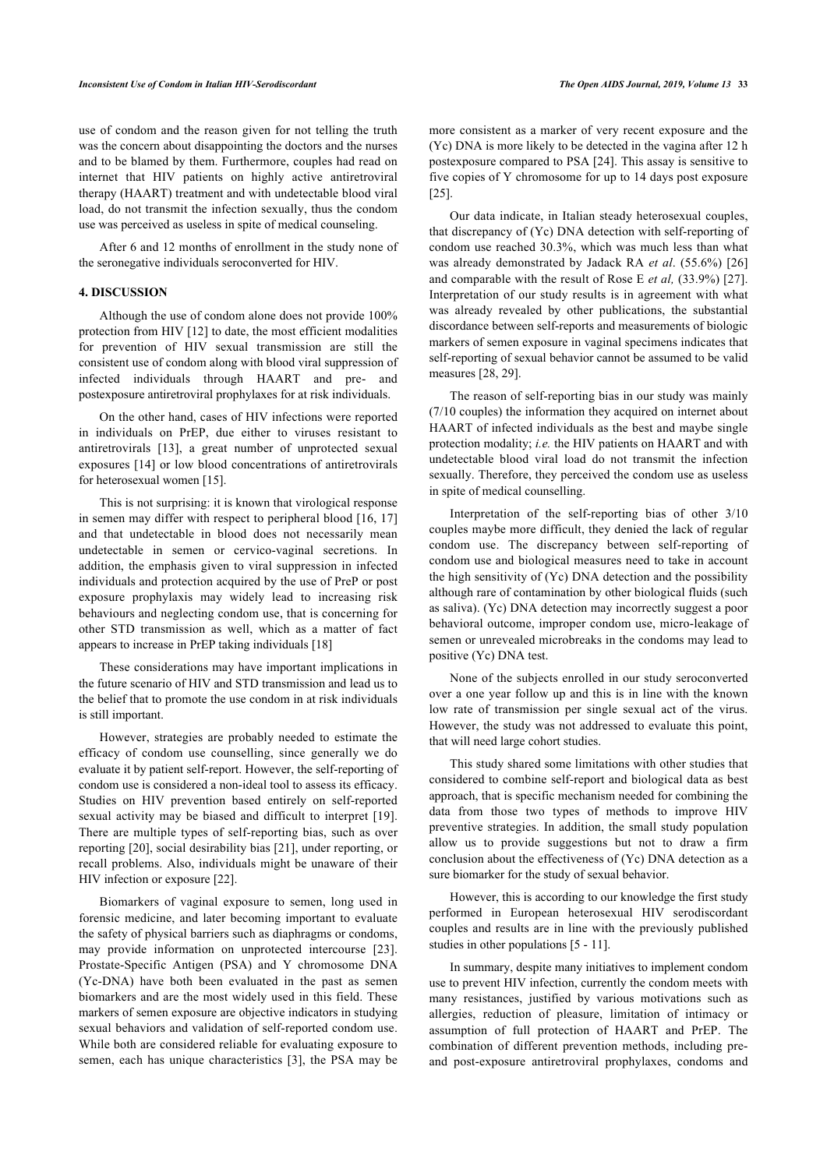use of condom and the reason given for not telling the truth was the concern about disappointing the doctors and the nurses and to be blamed by them. Furthermore, couples had read on internet that HIV patients on highly active antiretroviral therapy (HAART) treatment and with undetectable blood viral load, do not transmit the infection sexually, thus the condom use was perceived as useless in spite of medical counseling.

After 6 and 12 months of enrollment in the study none of the seronegative individuals seroconverted for HIV.

#### **4. DISCUSSION**

Although the use of condom alone does not provide 100% protection from HIV [[12\]](#page-3-6) to date, the most efficient modalities for prevention of HIV sexual transmission are still the consistent use of condom along with blood viral suppression of infected individuals through HAART and pre- and postexposure antiretroviral prophylaxes for at risk individuals.

On the other hand, cases of HIV infections were reported in individuals on PrEP, due either to viruses resistant to antiretrovirals[[13\]](#page-3-7), a great number of unprotected sexual exposures [[14\]](#page-3-8) or low blood concentrations of antiretrovirals for heterosexual women [[15\]](#page-3-9).

This is not surprising: it is known that virological response in semen may differ with respect to peripheral blood [[16](#page-3-10), [17](#page-3-11)] and that undetectable in blood does not necessarily mean undetectable in semen or cervico-vaginal secretions. In addition, the emphasis given to viral suppression in infected individuals and protection acquired by the use of PreP or post exposure prophylaxis may widely lead to increasing risk behaviours and neglecting condom use, that is concerning for other STD transmission as well, which as a matter of fact appears to increase in PrEP taking individuals [\[18](#page-3-12)]

These considerations may have important implications in the future scenario of HIV and STD transmission and lead us to the belief that to promote the use condom in at risk individuals is still important.

However, strategies are probably needed to estimate the efficacy of condom use counselling, since generally we do evaluate it by patient self-report. However, the self-reporting of condom use is considered a non-ideal tool to assess its efficacy. Studies on HIV prevention based entirely on self-reported sexual activity may be biased and difficult to interpret [[19\]](#page-3-13). There are multiple types of self-reporting bias, such as over reporting [[20\]](#page-3-14), social desirability bias [\[21](#page-4-0)], under reporting, or recall problems. Also, individuals might be unaware of their HIV infection or exposure [[22\]](#page-4-1).

Biomarkers of vaginal exposure to semen, long used in forensic medicine, and later becoming important to evaluate the safety of physical barriers such as diaphragms or condoms, may provide information on unprotected intercourse[[23\]](#page-4-2). Prostate-Specific Antigen (PSA) and Y chromosome DNA (Yc-DNA) have both been evaluated in the past as semen biomarkers and are the most widely used in this field. These markers of semen exposure are objective indicators in studying sexual behaviors and validation of self-reported condom use. While both are considered reliable for evaluating exposure to semen, each has unique characteristics [[3\]](#page-3-2), the PSA may be

more consistent as a marker of very recent exposure and the (Yc) DNA is more likely to be detected in the vagina after 12 h postexposure compared to PSA [\[24](#page-4-3)]. This assay is sensitive to five copies of Y chromosome for up to 14 days post exposure [[25\]](#page-4-4).

Our data indicate, in Italian steady heterosexual couples, that discrepancy of (Yc) DNA detection with self-reporting of condom use reached 30.3%, which was much less than what was already demonstrated by Jadack RA *et al*. (55.6%) [\[26\]](#page-4-5) and comparable with the result of Rose E *et al,* (33.9%) [[27](#page-4-6)]. Interpretation of our study results is in agreement with what was already revealed by other publications, the substantial discordance between self-reports and measurements of biologic markers of semen exposure in vaginal specimens indicates that self-reporting of sexual behavior cannot be assumed to be valid measures [[28,](#page-4-7) [29](#page-4-8)].

The reason of self-reporting bias in our study was mainly (7/10 couples) the information they acquired on internet about HAART of infected individuals as the best and maybe single protection modality; *i.e.* the HIV patients on HAART and with undetectable blood viral load do not transmit the infection sexually. Therefore, they perceived the condom use as useless in spite of medical counselling.

Interpretation of the self-reporting bias of other 3/10 couples maybe more difficult, they denied the lack of regular condom use. The discrepancy between self-reporting of condom use and biological measures need to take in account the high sensitivity of (Yc) DNA detection and the possibility although rare of contamination by other biological fluids (such as saliva). (Yc) DNA detection may incorrectly suggest a poor behavioral outcome, improper condom use, micro-leakage of semen or unrevealed microbreaks in the condoms may lead to positive (Yc) DNA test.

None of the subjects enrolled in our study seroconverted over a one year follow up and this is in line with the known low rate of transmission per single sexual act of the virus. However, the study was not addressed to evaluate this point, that will need large cohort studies.

This study shared some limitations with other studies that considered to combine self-report and biological data as best approach, that is specific mechanism needed for combining the data from those two types of methods to improve HIV preventive strategies. In addition, the small study population allow us to provide suggestions but not to draw a firm conclusion about the effectiveness of (Yc) DNA detection as a sure biomarker for the study of sexual behavior.

However, this is according to our knowledge the first study performed in European heterosexual HIV serodiscordant couples and results are in line with the previously published studies in other populations [\[5](#page-3-4) - [11](#page-3-5)].

In summary, despite many initiatives to implement condom use to prevent HIV infection, currently the condom meets with many resistances, justified by various motivations such as allergies, reduction of pleasure, limitation of intimacy or assumption of full protection of HAART and PrEP. The combination of different prevention methods, including preand post-exposure antiretroviral prophylaxes, condoms and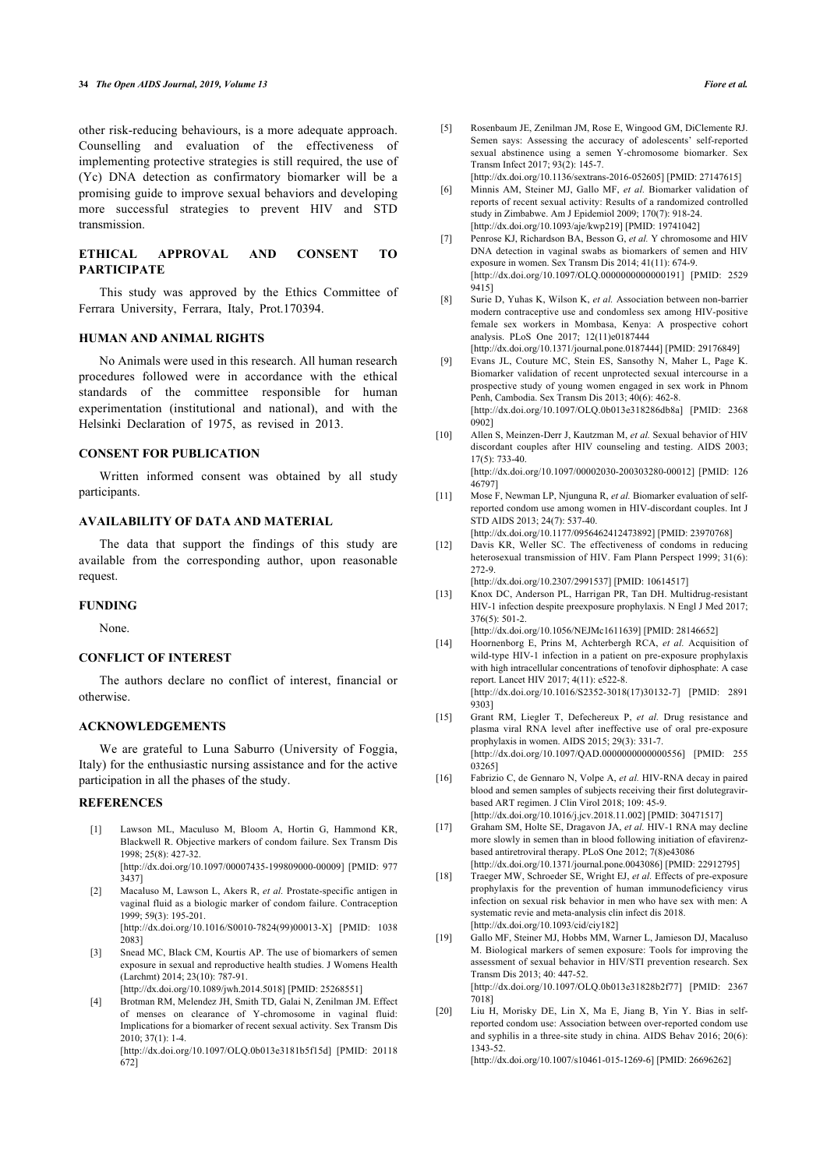<span id="page-3-4"></span>other risk-reducing behaviours, is a more adequate approach. Counselling and evaluation of the effectiveness of implementing protective strategies is still required, the use of (Yc) DNA detection as confirmatory biomarker will be a promising guide to improve sexual behaviors and developing more successful strategies to prevent HIV and STD transmission.

## **ETHICAL APPROVAL AND CONSENT TO PARTICIPATE**

This study was approved by the Ethics Committee of Ferrara University, Ferrara, Italy, Prot.170394.

## **HUMAN AND ANIMAL RIGHTS**

No Animals were used in this research. All human research procedures followed were in accordance with the ethical standards of the committee responsible for human experimentation (institutional and national), and with the Helsinki Declaration of 1975, as revised in 2013.

# **CONSENT FOR PUBLICATION**

<span id="page-3-5"></span>Written informed consent was obtained by all study participants.

#### **AVAILABILITY OF DATA AND MATERIAL**

<span id="page-3-6"></span>The data that support the findings of this study are available from the corresponding author, upon reasonable request.

#### <span id="page-3-7"></span>**FUNDING**

None.

#### <span id="page-3-8"></span>**CONFLICT OF INTEREST**

The authors declare no conflict of interest, financial or otherwise.

## <span id="page-3-9"></span>**ACKNOWLEDGEMENTS**

<span id="page-3-10"></span>We are grateful to Luna Saburro (University of Foggia, Italy) for the enthusiastic nursing assistance and for the active participation in all the phases of the study.

## <span id="page-3-11"></span><span id="page-3-0"></span>**REFERENCES**

- [1] Lawson ML, Maculuso M, Bloom A, Hortin G, Hammond KR, Blackwell R. Objective markers of condom failure. Sex Transm Dis 1998; 25(8): 427-32. [\[http://dx.doi.org/10.1097/00007435-199809000-00009\]](http://dx.doi.org/10.1097/00007435-199809000-00009) [PMID: [977](http://www.ncbi.nlm.nih.gov/pubmed/977%203437)
- <span id="page-3-12"></span><span id="page-3-1"></span>[3437\]](http://www.ncbi.nlm.nih.gov/pubmed/977%203437) [2] Macaluso M, Lawson L, Akers R, *et al.* Prostate-specific antigen in
- vaginal fluid as a biologic marker of condom failure. Contraception 1999; 59(3): 195-201. [\[http://dx.doi.org/10.1016/S0010-7824\(99\)00013-X\]](http://dx.doi.org/10.1016/S0010-7824(99)00013-X) [PMID: [1038](http://www.ncbi.nlm.nih.gov/pubmed/1038%202083) [2083\]](http://www.ncbi.nlm.nih.gov/pubmed/1038%202083)
- <span id="page-3-13"></span><span id="page-3-2"></span>[3] Snead MC, Black CM, Kourtis AP. The use of biomarkers of semen exposure in sexual and reproductive health studies. J Womens Health (Larchmt) 2014; 23(10): 787-91.

[\[http://dx.doi.org/10.1089/jwh.2014.5018](http://dx.doi.org/10.1089/jwh.2014.5018)] [PMID: [25268551\]](http://www.ncbi.nlm.nih.gov/pubmed/25268551)

<span id="page-3-14"></span><span id="page-3-3"></span>[4] Brotman RM, Melendez JH, Smith TD, Galai N, Zenilman JM. Effect of menses on clearance of Y-chromosome in vaginal fluid: Implications for a biomarker of recent sexual activity. Sex Transm Dis 2010; 37(1): 1-4.

[\[http://dx.doi.org/10.1097/OLQ.0b013e3181b5f15d](http://dx.doi.org/10.1097/OLQ.0b013e3181b5f15d)] [PMID: [20118](http://www.ncbi.nlm.nih.gov/pubmed/20118%20672) [672](http://www.ncbi.nlm.nih.gov/pubmed/20118%20672)]

- [5] Rosenbaum JE, Zenilman JM, Rose E, Wingood GM, DiClemente RJ. Semen says: Assessing the accuracy of adolescents' self-reported sexual abstinence using a semen Y-chromosome biomarker. Sex Transm Infect 2017; 93(2): 145-7.
	- [\[http://dx.doi.org/10.1136/sextrans-2016-052605](http://dx.doi.org/10.1136/sextrans-2016-052605)] [PMID: [27147615\]](http://www.ncbi.nlm.nih.gov/pubmed/27147615)
- [6] Minnis AM, Steiner MJ, Gallo MF, *et al.* Biomarker validation of reports of recent sexual activity: Results of a randomized controlled study in Zimbabwe. Am J Epidemiol 2009; 170(7): 918-24. [\[http://dx.doi.org/10.1093/aje/kwp219](http://dx.doi.org/10.1093/aje/kwp219)] [PMID: [19741042\]](http://www.ncbi.nlm.nih.gov/pubmed/19741042)
- [7] Penrose KJ, Richardson BA, Besson G, *et al.* Y chromosome and HIV DNA detection in vaginal swabs as biomarkers of semen and HIV exposure in women. Sex Transm Dis 2014; 41(11): 674-9. [\[http://dx.doi.org/10.1097/OLQ.0000000000000191](http://dx.doi.org/10.1097/OLQ.0000000000000191)] [PMID: [2529](http://www.ncbi.nlm.nih.gov/pubmed/2529%209415) [9415\]](http://www.ncbi.nlm.nih.gov/pubmed/2529%209415)
- [8] Surie D, Yuhas K, Wilson K, *et al.* Association between non-barrier modern contraceptive use and condomless sex among HIV-positive female sex workers in Mombasa, Kenya: A prospective cohort analysis. PLoS One 2017; 12(11)e0187444
	- [\[http://dx.doi.org/10.1371/journal.pone.0187444\]](http://dx.doi.org/10.1371/journal.pone.0187444) [PMID: [29176849\]](http://www.ncbi.nlm.nih.gov/pubmed/29176849)
- [9] Evans JL, Couture MC, Stein ES, Sansothy N, Maher L, Page K. Biomarker validation of recent unprotected sexual intercourse in a prospective study of young women engaged in sex work in Phnom Penh, Cambodia. Sex Transm Dis 2013; 40(6): 462-8. [\[http://dx.doi.org/10.1097/OLQ.0b013e318286db8a\]](http://dx.doi.org/10.1097/OLQ.0b013e318286db8a) [PMID: [2368](http://www.ncbi.nlm.nih.gov/pubmed/2368%200902) [0902\]](http://www.ncbi.nlm.nih.gov/pubmed/2368%200902)
- [10] Allen S, Meinzen-Derr J, Kautzman M, *et al.* Sexual behavior of HIV discordant couples after HIV counseling and testing. AIDS 2003; 17(5): 733-40. [\[http://dx.doi.org/10.1097/00002030-200303280-00012\]](http://dx.doi.org/10.1097/00002030-200303280-00012) [PMID: [126](http://www.ncbi.nlm.nih.gov/pubmed/126%2046797) [46797](http://www.ncbi.nlm.nih.gov/pubmed/126%2046797)]
- [11] Mose F, Newman LP, Njunguna R, *et al.* Biomarker evaluation of selfreported condom use among women in HIV-discordant couples. Int J STD AIDS 2013; 24(7): 537-40.
	- [\[http://dx.doi.org/10.1177/0956462412473892](http://dx.doi.org/10.1177/0956462412473892)] [PMID: [23970768](http://www.ncbi.nlm.nih.gov/pubmed/23970768)]
- [12] Davis KR, Weller SC. The effectiveness of condoms in reducing heterosexual transmission of HIV. Fam Plann Perspect 1999; 31(6): 272-9.

[\[http://dx.doi.org/10.2307/2991537\]](http://dx.doi.org/10.2307/2991537) [PMID: [10614517\]](http://www.ncbi.nlm.nih.gov/pubmed/10614517)

- [13] Knox DC, Anderson PL, Harrigan PR, Tan DH. Multidrug-resistant HIV-1 infection despite preexposure prophylaxis. N Engl J Med 2017; 376(5): 501-2. [\[http://dx.doi.org/10.1056/NEJMc1611639](http://dx.doi.org/10.1056/NEJMc1611639)] [PMID: [28146652\]](http://www.ncbi.nlm.nih.gov/pubmed/28146652)
- [14] Hoornenborg E, Prins M, Achterbergh RCA, *et al.* Acquisition of wild-type HIV-1 infection in a patient on pre-exposure prophylaxis with high intracellular concentrations of tenofovir diphosphate: A case report. Lancet HIV 2017; 4(11): e522-8. [\[http://dx.doi.org/10.1016/S2352-3018\(17\)30132-7](http://dx.doi.org/10.1016/S2352-3018(17)30132-7)] [PMID: [2891](http://www.ncbi.nlm.nih.gov/pubmed/2891%209303) [9303\]](http://www.ncbi.nlm.nih.gov/pubmed/2891%209303)
- [15] Grant RM, Liegler T, Defechereux P, *et al.* Drug resistance and plasma viral RNA level after ineffective use of oral pre-exposure prophylaxis in women. AIDS 2015; 29(3): 331-7. [\[http://dx.doi.org/10.1097/QAD.0000000000000556](http://dx.doi.org/10.1097/QAD.0000000000000556)] [PMID: [255](http://www.ncbi.nlm.nih.gov/pubmed/255%2003265) [03265](http://www.ncbi.nlm.nih.gov/pubmed/255%2003265)]
- [16] Fabrizio C, de Gennaro N, Volpe A, *et al.* HIV-RNA decay in paired blood and semen samples of subjects receiving their first dolutegravirbased ART regimen. J Clin Virol 2018; 109: 45-9. [\[http://dx.doi.org/10.1016/j.jcv.2018.11.002](http://dx.doi.org/10.1016/j.jcv.2018.11.002)] [PMID: [30471517](http://www.ncbi.nlm.nih.gov/pubmed/30471517)]
- [17] Graham SM, Holte SE, Dragavon JA, *et al.* HIV-1 RNA may decline more slowly in semen than in blood following initiation of efavirenzbased antiretroviral therapy. PLoS One 2012; 7(8)e43086 [\[http://dx.doi.org/10.1371/journal.pone.0043086\]](http://dx.doi.org/10.1371/journal.pone.0043086) [PMID: [22912795\]](http://www.ncbi.nlm.nih.gov/pubmed/22912795)
- [18] Traeger MW, Schroeder SE, Wright EJ, *et al.* Effects of pre-exposure prophylaxis for the prevention of human immunodeficiency virus infection on sexual risk behavior in men who have sex with men: A systematic revie and meta-analysis clin infect dis 2018. [\[http://dx.doi.org/10.1093/cid/ciy182](http://dx.doi.org/10.1093/cid/ciy182)]
- [19] Gallo MF, Steiner MJ, Hobbs MM, Warner L, Jamieson DJ, Macaluso M. Biological markers of semen exposure: Tools for improving the assessment of sexual behavior in HIV/STI prevention research. Sex Transm Dis 2013; 40: 447-52. [\[http://dx.doi.org/10.1097/OLQ.0b013e31828b2f77\]](http://dx.doi.org/10.1097/OLQ.0b013e31828b2f77) [PMID: [2367](http://www.ncbi.nlm.nih.gov/pubmed/2367%207018) [7018\]](http://www.ncbi.nlm.nih.gov/pubmed/2367%207018)
- [20] Liu H, Morisky DE, Lin X, Ma E, Jiang B, Yin Y. Bias in selfreported condom use: Association between over-reported condom use and syphilis in a three-site study in china. AIDS Behav 2016; 20(6): 1343-52.

[\[http://dx.doi.org/10.1007/s10461-015-1269-6\]](http://dx.doi.org/10.1007/s10461-015-1269-6) [PMID: [26696262](http://www.ncbi.nlm.nih.gov/pubmed/26696262)]